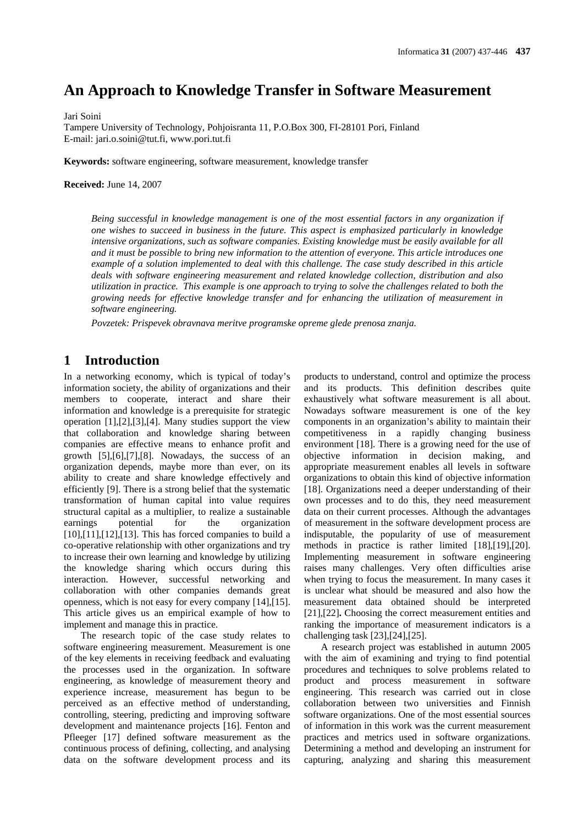# **An Approach to Knowledge Transfer in Software Measurement**

Jari Soini

Tampere University of Technology, Pohjoisranta 11, P.O.Box 300, FI-28101 Pori, Finland E-mail: jari.o.soini@tut.fi, www.pori.tut.fi

**Keywords:** software engineering, software measurement, knowledge transfer

**Received:** June 14, 2007

*Being successful in knowledge management is one of the most essential factors in any organization if one wishes to succeed in business in the future. This aspect is emphasized particularly in knowledge intensive organizations, such as software companies. Existing knowledge must be easily available for all and it must be possible to bring new information to the attention of everyone. This article introduces one example of a solution implemented to deal with this challenge. The case study described in this article deals with software engineering measurement and related knowledge collection, distribution and also utilization in practice. This example is one approach to trying to solve the challenges related to both the growing needs for effective knowledge transfer and for enhancing the utilization of measurement in software engineering.* 

*Povzetek: Prispevek obravnava meritve programske opreme glede prenosa znanja.* 

# **1 Introduction**

In a networking economy, which is typical of today's information society, the ability of organizations and their members to cooperate, interact and share their information and knowledge is a prerequisite for strategic operation [1],[2],[3],[4]. Many studies support the view that collaboration and knowledge sharing between companies are effective means to enhance profit and growth [5],[6],[7],[8]. Nowadays, the success of an organization depends, maybe more than ever, on its ability to create and share knowledge effectively and efficiently [9]. There is a strong belief that the systematic transformation of human capital into value requires structural capital as a multiplier, to realize a sustainable earnings potential for the organization [10],[11],[12],[13]. This has forced companies to build a co-operative relationship with other organizations and try to increase their own learning and knowledge by utilizing the knowledge sharing which occurs during this interaction. However, successful networking and collaboration with other companies demands great openness, which is not easy for every company [14],[15]. This article gives us an empirical example of how to implement and manage this in practice.

The research topic of the case study relates to software engineering measurement. Measurement is one of the key elements in receiving feedback and evaluating the processes used in the organization. In software engineering, as knowledge of measurement theory and experience increase, measurement has begun to be perceived as an effective method of understanding, controlling, steering, predicting and improving software development and maintenance projects [16]. Fenton and Pfleeger [17] defined software measurement as the continuous process of defining, collecting, and analysing data on the software development process and its products to understand, control and optimize the process and its products. This definition describes quite exhaustively what software measurement is all about. Nowadays software measurement is one of the key components in an organization's ability to maintain their competitiveness in a rapidly changing business environment [18]. There is a growing need for the use of objective information in decision making, and appropriate measurement enables all levels in software organizations to obtain this kind of objective information [18]. Organizations need a deeper understanding of their own processes and to do this, they need measurement data on their current processes. Although the advantages of measurement in the software development process are indisputable, the popularity of use of measurement methods in practice is rather limited [18],[19],[20]. Implementing measurement in software engineering raises many challenges. Very often difficulties arise when trying to focus the measurement. In many cases it is unclear what should be measured and also how the measurement data obtained should be interpreted [21],[22]**.** Choosing the correct measurement entities and ranking the importance of measurement indicators is a challenging task [23],[24],[25].

A research project was established in autumn 2005 with the aim of examining and trying to find potential procedures and techniques to solve problems related to product and process measurement in software engineering. This research was carried out in close collaboration between two universities and Finnish software organizations. One of the most essential sources of information in this work was the current measurement practices and metrics used in software organizations. Determining a method and developing an instrument for capturing, analyzing and sharing this measurement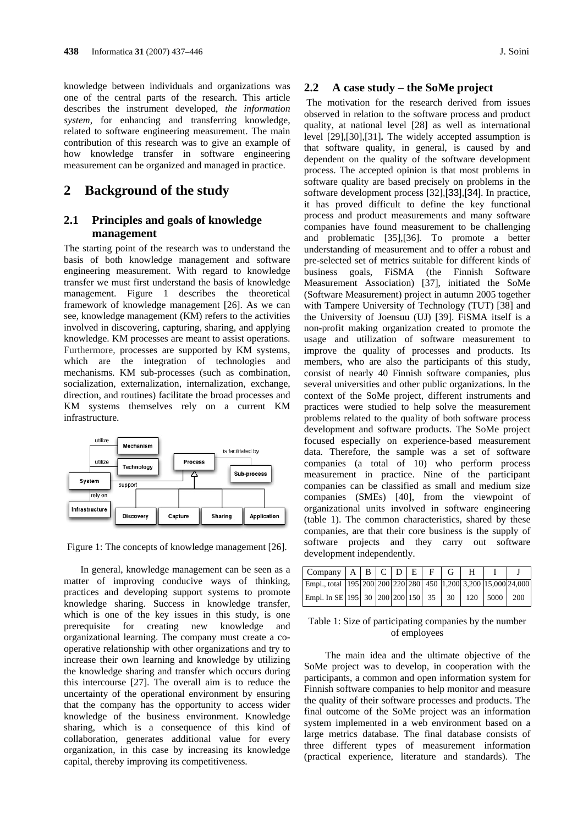knowledge between individuals and organizations was one of the central parts of the research. This article describes the instrument developed, *the information system*, for enhancing and transferring knowledge, related to software engineering measurement. The main contribution of this research was to give an example of how knowledge transfer in software engineering measurement can be organized and managed in practice.

## **2 Background of the study**

### **2.1 Principles and goals of knowledge management**

The starting point of the research was to understand the basis of both knowledge management and software engineering measurement. With regard to knowledge transfer we must first understand the basis of knowledge management. Figure 1 describes the theoretical framework of knowledge management [26]. As we can see, knowledge management (KM) refers to the activities involved in discovering, capturing, sharing, and applying knowledge. KM processes are meant to assist operations. Furthermore, processes are supported by KM systems, which are the integration of technologies and mechanisms. KM sub-processes (such as combination, socialization, externalization, internalization, exchange, direction, and routines) facilitate the broad processes and KM systems themselves rely on a current KM infrastructure.



Figure 1: The concepts of knowledge management [26].

In general, knowledge management can be seen as a matter of improving conducive ways of thinking, practices and developing support systems to promote knowledge sharing. Success in knowledge transfer, which is one of the key issues in this study, is one prerequisite for creating new knowledge and organizational learning. The company must create a cooperative relationship with other organizations and try to increase their own learning and knowledge by utilizing the knowledge sharing and transfer which occurs during this intercourse [27]. The overall aim is to reduce the uncertainty of the operational environment by ensuring that the company has the opportunity to access wider knowledge of the business environment. Knowledge sharing, which is a consequence of this kind of collaboration, generates additional value for every organization, in this case by increasing its knowledge capital, thereby improving its competitiveness.

### **2.2 A case study – the SoMe project**

 The motivation for the research derived from issues observed in relation to the software process and product quality, at national level [28] as well as international level [29],[30],[31]**.** The widely accepted assumption is that software quality, in general, is caused by and dependent on the quality of the software development process. The accepted opinion is that most problems in software quality are based precisely on problems in the software development process [32],[33],[34]. In practice, it has proved difficult to define the key functional process and product measurements and many software companies have found measurement to be challenging and problematic [35],[36]. To promote a better understanding of measurement and to offer a robust and pre-selected set of metrics suitable for different kinds of business goals, FiSMA (the Finnish Software Measurement Association) [37], initiated the SoMe (Software Measurement) project in autumn 2005 together with Tampere University of Technology (TUT) [38] and the University of Joensuu (UJ) [39]. FiSMA itself is a non-profit making organization created to promote the usage and utilization of software measurement to improve the quality of processes and products. Its members, who are also the participants of this study, consist of nearly 40 Finnish software companies, plus several universities and other public organizations. In the context of the SoMe project, different instruments and practices were studied to help solve the measurement problems related to the quality of both software process development and software products. The SoMe project focused especially on experience-based measurement data. Therefore, the sample was a set of software companies (a total of 10) who perform process measurement in practice. Nine of the participant companies can be classified as small and medium size companies (SMEs) [40], from the viewpoint of organizational units involved in software engineering (table 1). The common characteristics, shared by these companies, are that their core business is the supply of software projects and they carry out software development independently.

| $\text{Company}$   A   B   C   D   E   F   G   H               |  |  |  |  |  |
|----------------------------------------------------------------|--|--|--|--|--|
| Empl., total 195 200 200 220 280 450 1,200 3,200 15,000 24,000 |  |  |  |  |  |
| Empl. In SE 195 30 200 200 150 35 30 120 5000 200              |  |  |  |  |  |

| Table 1: Size of participating companies by the number |
|--------------------------------------------------------|
| of employees                                           |

The main idea and the ultimate objective of the SoMe project was to develop, in cooperation with the participants, a common and open information system for Finnish software companies to help monitor and measure the quality of their software processes and products. The final outcome of the SoMe project was an information system implemented in a web environment based on a large metrics database. The final database consists of three different types of measurement information (practical experience, literature and standards). The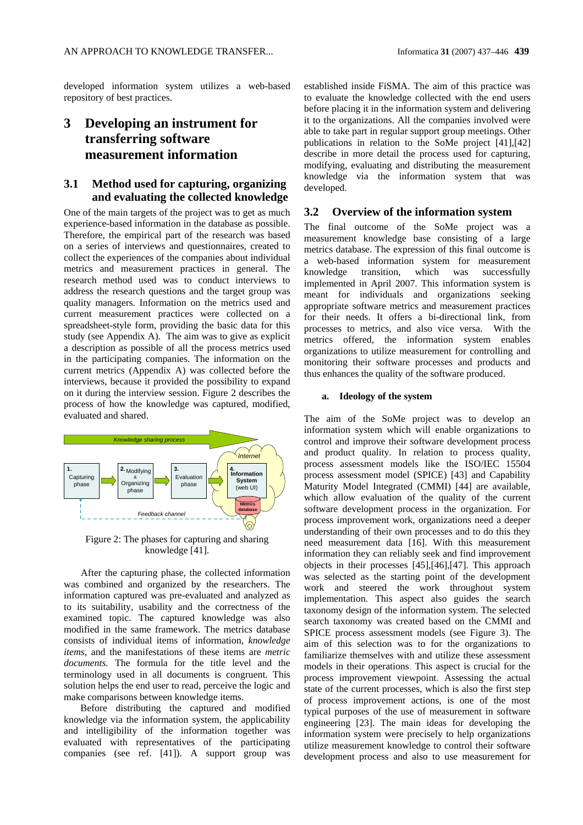developed information system utilizes a web-based repository of best practices.

# **3 Developing an instrument for transferring software measurement information**

### **3.1 Method used for capturing, organizing and evaluating the collected knowledge**

One of the main targets of the project was to get as much experience-based information in the database as possible. Therefore, the empirical part of the research was based on a series of interviews and questionnaires, created to collect the experiences of the companies about individual metrics and measurement practices in general. The research method used was to conduct interviews to address the research questions and the target group was quality managers. Information on the metrics used and current measurement practices were collected on a spreadsheet-style form, providing the basic data for this study (see Appendix A). The aim was to give as explicit a description as possible of all the process metrics used in the participating companies. The information on the current metrics (Appendix A) was collected before the interviews, because it provided the possibility to expand on it during the interview session. Figure 2 describes the process of how the knowledge was captured, modified, evaluated and shared.



Figure 2: The phases for capturing and sharing knowledge [41].

After the capturing phase, the collected information was combined and organized by the researchers. The information captured was pre-evaluated and analyzed as to its suitability, usability and the correctness of the examined topic. The captured knowledge was also modified in the same framework. The metrics database consists of individual items of information, *knowledge items,* and the manifestations of these items are *metric documents.* The formula for the title level and the terminology used in all documents is congruent. This solution helps the end user to read, perceive the logic and make comparisons between knowledge items.

Before distributing the captured and modified knowledge via the information system, the applicability and intelligibility of the information together was evaluated with representatives of the participating companies (see ref. [41]). A support group was

established inside FiSMA. The aim of this practice was to evaluate the knowledge collected with the end users before placing it in the information system and delivering it to the organizations. All the companies involved were able to take part in regular support group meetings. Other publications in relation to the SoMe project [41],[42] describe in more detail the process used for capturing, modifying, evaluating and distributing the measurement knowledge via the information system that was developed.

### **3.2 Overview of the information system**

The final outcome of the SoMe project was a measurement knowledge base consisting of a large metrics database. The expression of this final outcome is a web-based information system for measurement knowledge transition, which was successfully implemented in April 2007. This information system is meant for individuals and organizations seeking appropriate software metrics and measurement practices for their needs. It offers a bi-directional link, from processes to metrics, and also vice versa. With the metrics offered, the information system enables organizations to utilize measurement for controlling and monitoring their software processes and products and thus enhances the quality of the software produced.

#### **a. Ideology of the system**

The aim of the SoMe project was to develop an information system which will enable organizations to control and improve their software development process and product quality. In relation to process quality, process assessment models like the ISO/IEC 15504 process assessment model (SPICE) [43] and Capability Maturity Model Integrated (CMMI) [44] are available, which allow evaluation of the quality of the current software development process in the organization. For process improvement work, organizations need a deeper understanding of their own processes and to do this they need measurement data [16]. With this measurement information they can reliably seek and find improvement objects in their processes [45],[46],[47]. This approach was selected as the starting point of the development work and steered the work throughout system implementation*.* This aspect also guides the search taxonomy design of the information system. The selected search taxonomy was created based on the CMMI and SPICE process assessment models (see Figure 3). The aim of this selection was to for the organizations to familiarize themselves with and utilize these assessment models in their operations. This aspect is crucial for the process improvement viewpoint**.** Assessing the actual state of the current processes, which is also the first step of process improvement actions, is one of the most typical purposes of the use of measurement in software engineering [23]. The main ideas for developing the information system were precisely to help organizations utilize measurement knowledge to control their software development process and also to use measurement for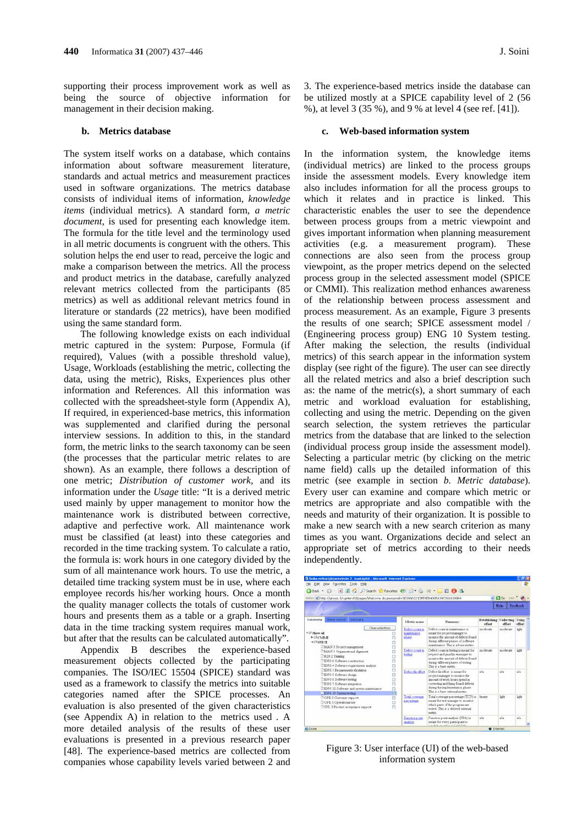supporting their process improvement work as well as being the source of objective information for management in their decision making.

#### **b. Metrics database**

The system itself works on a database, which contains information about software measurement literature, standards and actual metrics and measurement practices used in software organizations. The metrics database consists of individual items of information, *knowledge items* (individual metrics)*.* A standard form, *a metric document*, is used for presenting each knowledge item. The formula for the title level and the terminology used in all metric documents is congruent with the others. This solution helps the end user to read, perceive the logic and make a comparison between the metrics. All the process and product metrics in the database, carefully analyzed relevant metrics collected from the participants (85 metrics) as well as additional relevant metrics found in literature or standards (22 metrics), have been modified using the same standard form.

The following knowledge exists on each individual metric captured in the system: Purpose, Formula (if required), Values (with a possible threshold value), Usage, Workloads (establishing the metric, collecting the data, using the metric), Risks, Experiences plus other information and References. All this information was collected with the spreadsheet-style form (Appendix A), If required, in experienced-base metrics, this information was supplemented and clarified during the personal interview sessions. In addition to this, in the standard form, the metric links to the search taxonomy can be seen (the processes that the particular metric relates to are shown). As an example, there follows a description of one metric; *Distribution of customer work*, and its information under the *Usage* title: "It is a derived metric used mainly by upper management to monitor how the maintenance work is distributed between corrective, adaptive and perfective work. All maintenance work must be classified (at least) into these categories and recorded in the time tracking system. To calculate a ratio, the formula is: work hours in one category divided by the sum of all maintenance work hours. To use the metric, a detailed time tracking system must be in use, where each employee records his/her working hours. Once a month the quality manager collects the totals of customer work hours and presents them as a table or a graph. Inserting data in the time tracking system requires manual work, but after that the results can be calculated automatically".

Appendix B describes the experience-based measurement objects collected by the participating companies. The ISO/IEC 15504 (SPICE) standard was used as a framework to classify the metrics into suitable categories named after the SPICE processes. An evaluation is also presented of the given characteristics (see Appendix A) in relation to the metrics used *.* A more detailed analysis of the results of these user evaluations is presented in a previous research paper [48]. The experience-based metrics are collected from companies whose capability levels varied between 2 and 3. The experience-based metrics inside the database can be utilized mostly at a SPICE capability level of 2 (56 %), at level 3 (35 %), and 9 % at level 4 (see ref. [41]).

#### **c. Web-based information system**

In the information system, the knowledge items (individual metrics) are linked to the process groups inside the assessment models. Every knowledge item also includes information for all the process groups to which it relates and in practice is linked. This characteristic enables the user to see the dependence between process groups from a metric viewpoint and gives important information when planning measurement activities (e.g. a measurement program). These connections are also seen from the process group viewpoint, as the proper metrics depend on the selected process group in the selected assessment model (SPICE or CMMI). This realization method enhances awareness of the relationship between process assessment and process measurement. As an example, Figure 3 presents the results of one search; SPICE assessment model / (Engineering process group) ENG 10 System testing. After making the selection, the results (individual metrics) of this search appear in the information system display (see right of the figure). The user can see directly all the related metrics and also a brief description such as: the name of the metric(s), a short summary of each metric and workload evaluation for establishing, collecting and using the metric. Depending on the given search selection, the system retrieves the particular metrics from the database that are linked to the selection (individual process group inside the assessment model). Selecting a particular metric (by clicking on the metric name field) calls up the detailed information of this metric (see example in section *b. Metric database*). Every user can examine and compare which metric or metrics are appropriate and also compatible with the needs and maturity of their organization. It is possible to make a new search with a new search criterion as many times as you want. Organizations decide and select an appropriate set of metrics according to their needs independently.

| File Edit View Figyorites Tools Help                                                                                                                                                                                                     |                                         |                                                                                                                                                                                                                |              |                                          |             |  |
|------------------------------------------------------------------------------------------------------------------------------------------------------------------------------------------------------------------------------------------|-----------------------------------------|----------------------------------------------------------------------------------------------------------------------------------------------------------------------------------------------------------------|--------------|------------------------------------------|-------------|--|
| GBad · ○ 国国合ノSearch y Favorites ④ 品 · 品 · 一段 ⑤ 名                                                                                                                                                                                         |                                         |                                                                                                                                                                                                                |              |                                          |             |  |
| 488444 2] http://gnosis.fi/xgr4ervfd/pages/Welcome.do;jsessionid=3D3990221DFE8EB400BA39C092A199B4                                                                                                                                        |                                         |                                                                                                                                                                                                                |              | $+$ $63$ Go $+$ $+$                      |             |  |
|                                                                                                                                                                                                                                          |                                         |                                                                                                                                                                                                                |              | Help                                     | Feedback    |  |
| Word search Gluccary<br>Taxenomy                                                                                                                                                                                                         | Metric name                             | <b>Summary</b>                                                                                                                                                                                                 | offast.      | Establishing Callecting Using<br>offert. | offact.     |  |
| Clear selections<br><b>TEL Show all</b><br>► DI CMMI<br>ō<br><b>TIFSPICE</b><br>ō<br>ö<br>MAN 3 Project management                                                                                                                       | Defect count in<br>maintenance<br>thatt | Thefect cusset in maintenance is<br>meant for project manager to<br>monitor the amount of defects found<br>during different phases of software<br>maintenance. This is a base metric.                          | moderate     | miderate                                 | <b>Lots</b> |  |
| <sup>2</sup> MAN 1 Organizational alignment<br>e<br>RIN 2 Training<br>ö<br>ERIG 6 Software construction<br>O<br>E<br>ENG 4 Software requirements analysis                                                                                | Defect count in<br><b>Install</b>       | Defect count in terting is meant for<br>project and quality manager to<br>monitor the amount of defects found.<br>during different phases of testing.<br>This is a hass matrix.                                | moderate.    | moderate                                 | liste       |  |
| <b>BNG I Requirements elicitation</b><br>Ð<br>n<br>ERNG 5 Software design.<br>D<br><b>EXIGS</b> Software texting<br><b>BENG 7 Software integration</b><br>E<br>D<br>ENG 12 Software and system maintenance<br>日<br>ENG 10 System testing | Defect fix effort                       | Defect for effort is meant for<br>project manager to monitor the<br>amount of work hours spend in<br>correcting and fixing found defects<br>during the implementation phase.<br>This is a have external metric | n/n<br>heave | réa<br><b>Seht</b>                       | tda:        |  |
| D<br>COPE 2 Customer papport<br>E<br>COPE 1 Operational use<br>E<br>SPL 3 Product acceptance support                                                                                                                                     | Total coverage<br>percentage            | Total coverage percentage (TCP) at<br>meant for test manager to monitor<br>which parts of the program are<br>tested. This is a derived external<br>metric.                                                     |              |                                          | liste       |  |
|                                                                                                                                                                                                                                          | Function point<br>analysis              | Function point analysis (FPA) is<br>v/a<br>meant for every participant to<br>and the minimum of militain.                                                                                                      |              |                                          |             |  |

Figure 3: User interface (UI) of the web-based information system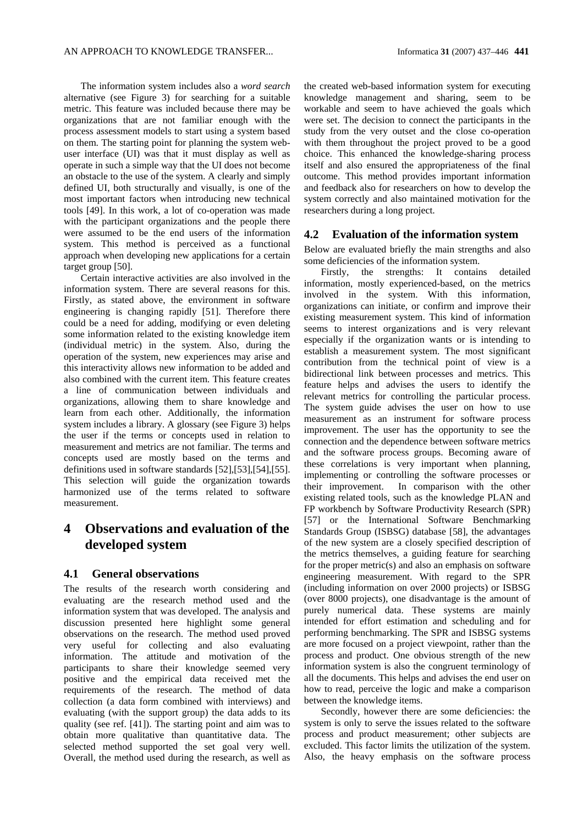The information system includes also a *word search* alternative (see Figure 3) for searching for a suitable metric. This feature was included because there may be organizations that are not familiar enough with the process assessment models to start using a system based on them. The starting point for planning the system webuser interface (UI) was that it must display as well as operate in such a simple way that the UI does not become an obstacle to the use of the system. A clearly and simply defined UI, both structurally and visually, is one of the most important factors when introducing new technical tools [49]. In this work, a lot of co-operation was made with the participant organizations and the people there were assumed to be the end users of the information system. This method is perceived as a functional approach when developing new applications for a certain target group [50].

Certain interactive activities are also involved in the information system. There are several reasons for this. Firstly, as stated above, the environment in software engineering is changing rapidly [51]. Therefore there could be a need for adding, modifying or even deleting some information related to the existing knowledge item (individual metric) in the system. Also, during the operation of the system, new experiences may arise and this interactivity allows new information to be added and also combined with the current item. This feature creates a line of communication between individuals and organizations, allowing them to share knowledge and learn from each other. Additionally, the information system includes a library. A glossary (see Figure 3) helps the user if the terms or concepts used in relation to measurement and metrics are not familiar. The terms and concepts used are mostly based on the terms and definitions used in software standards [52],[53],[54],[55]. This selection will guide the organization towards harmonized use of the terms related to software measurement.

# **4 Observations and evaluation of the developed system**

### **4.1 General observations**

The results of the research worth considering and evaluating are the research method used and the information system that was developed. The analysis and discussion presented here highlight some general observations on the research. The method used proved very useful for collecting and also evaluating information. The attitude and motivation of the participants to share their knowledge seemed very positive and the empirical data received met the requirements of the research. The method of data collection (a data form combined with interviews) and evaluating (with the support group) the data adds to its quality (see ref. [41]). The starting point and aim was to obtain more qualitative than quantitative data. The selected method supported the set goal very well. Overall, the method used during the research, as well as the created web-based information system for executing knowledge management and sharing, seem to be workable and seem to have achieved the goals which were set. The decision to connect the participants in the study from the very outset and the close co-operation with them throughout the project proved to be a good choice. This enhanced the knowledge-sharing process itself and also ensured the appropriateness of the final outcome. This method provides important information and feedback also for researchers on how to develop the system correctly and also maintained motivation for the researchers during a long project.

#### **4.2 Evaluation of the information system**

Below are evaluated briefly the main strengths and also some deficiencies of the information system.

Firstly, the strengths: It contains detailed information, mostly experienced-based, on the metrics involved in the system. With this information, organizations can initiate, or confirm and improve their existing measurement system. This kind of information seems to interest organizations and is very relevant especially if the organization wants or is intending to establish a measurement system. The most significant contribution from the technical point of view is a bidirectional link between processes and metrics. This feature helps and advises the users to identify the relevant metrics for controlling the particular process. The system guide advises the user on how to use measurement as an instrument for software process improvement. The user has the opportunity to see the connection and the dependence between software metrics and the software process groups. Becoming aware of these correlations is very important when planning, implementing or controlling the software processes or their improvement. In comparison with the other existing related tools, such as the knowledge PLAN and FP workbench by Software Productivity Research (SPR) [57] or the International Software Benchmarking Standards Group (ISBSG) database [58], the advantages of the new system are a closely specified description of the metrics themselves, a guiding feature for searching for the proper metric(s) and also an emphasis on software engineering measurement. With regard to the SPR (including information on over 2000 projects) or ISBSG (over 8000 projects), one disadvantage is the amount of purely numerical data. These systems are mainly intended for effort estimation and scheduling and for performing benchmarking. The SPR and ISBSG systems are more focused on a project viewpoint, rather than the process and product. One obvious strength of the new information system is also the congruent terminology of all the documents. This helps and advises the end user on how to read, perceive the logic and make a comparison between the knowledge items.

Secondly, however there are some deficiencies: the system is only to serve the issues related to the software process and product measurement; other subjects are excluded. This factor limits the utilization of the system. Also, the heavy emphasis on the software process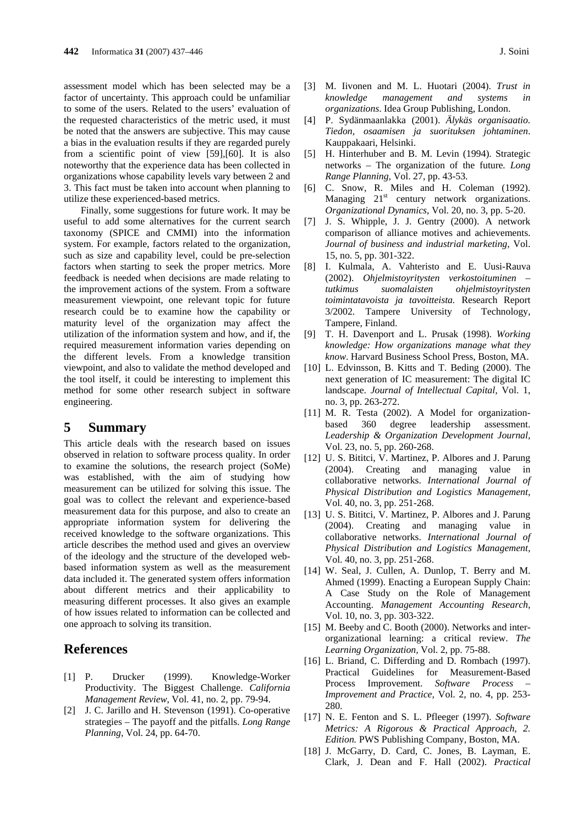assessment model which has been selected may be a factor of uncertainty. This approach could be unfamiliar to some of the users. Related to the users' evaluation of the requested characteristics of the metric used, it must be noted that the answers are subjective. This may cause a bias in the evaluation results if they are regarded purely from a scientific point of view [59]*,*[60]. It is also noteworthy that the experience data has been collected in organizations whose capability levels vary between 2 and 3. This fact must be taken into account when planning to utilize these experienced-based metrics.

Finally, some suggestions for future work. It may be useful to add some alternatives for the current search taxonomy (SPICE and CMMI) into the information system. For example, factors related to the organization, such as size and capability level, could be pre-selection factors when starting to seek the proper metrics. More feedback is needed when decisions are made relating to the improvement actions of the system. From a software measurement viewpoint, one relevant topic for future research could be to examine how the capability or maturity level of the organization may affect the utilization of the information system and how, and if, the required measurement information varies depending on the different levels. From a knowledge transition viewpoint, and also to validate the method developed and the tool itself, it could be interesting to implement this method for some other research subject in software engineering.

### **5 Summary**

This article deals with the research based on issues observed in relation to software process quality. In order to examine the solutions, the research project (SoMe) was established, with the aim of studying how measurement can be utilized for solving this issue. The goal was to collect the relevant and experience-based measurement data for this purpose, and also to create an appropriate information system for delivering the received knowledge to the software organizations. This article describes the method used and gives an overview of the ideology and the structure of the developed webbased information system as well as the measurement data included it. The generated system offers information about different metrics and their applicability to measuring different processes. It also gives an example of how issues related to information can be collected and one approach to solving its transition.

# **References**

- [1] P. Drucker (1999). Knowledge-Worker Productivity. The Biggest Challenge. *California Management Review*, Vol. 41, no. 2, pp. 79-94.
- [2] J. C. Jarillo and H. Stevenson (1991). Co-operative strategies – The payoff and the pitfalls. *Long Range Planning,* Vol. 24, pp. 64-70.
- [3] M. Iivonen and M. L. Huotari (2004). *Trust in knowledge management and systems in organizations*. Idea Group Publishing, London.
- [4] P. Sydänmaanlakka (2001). *Älykäs organisaatio. Tiedon, osaamisen ja suorituksen johtaminen*. Kauppakaari, Helsinki.
- [5] H. Hinterhuber and B. M. Levin (1994). Strategic networks – The organization of the future*. Long Range Planning,* Vol. 27, pp. 43-53.
- [6] C. Snow, R. Miles and H. Coleman (1992). Managing  $21<sup>st</sup>$  century network organizations. *Organizational Dynamics*, Vol. 20, no. 3, pp. 5-20.
- [7] J. S. Whipple, J. J. Gentry (2000). A network comparison of alliance motives and achievements. *Journal of business and industrial marketing,* Vol. 15, no. 5, pp. 301-322.
- [8] I. Kulmala, A. Vahteristo and E. Uusi-Rauva (2002). *Ohjelmistoyritysten verkostoituminen – tutkimus suomalaisten ohjelmistoyritysten toimintatavoista ja tavoitteista.* Research Report 3/2002. Tampere University of Technology, Tampere, Finland.
- [9] T. H. Davenport and L. Prusak (1998). *Working knowledge: How organizations manage what they know*. Harvard Business School Press, Boston, MA.
- [10] L. Edvinsson, B. Kitts and T. Beding (2000). The next generation of IC measurement: The digital IC landscape. *Journal of Intellectual Capital,* Vol. 1, no. 3, pp. 263-272.
- [11] M. R. Testa (2002). A Model for organizationbased 360 degree leadership assessment. *Leadership & Organization Development Journal,* Vol. 23, no. 5, pp. 260-268.
- [12] U. S. Bititci, V. Martinez, P. Albores and J. Parung (2004). Creating and managing value in collaborative networks. *International Journal of Physical Distribution and Logistics Management,* Vol. 40, no. 3, pp. 251-268.
- [13] U. S. Bititci, V. Martinez, P. Albores and J. Parung (2004). Creating and managing value in collaborative networks. *International Journal of Physical Distribution and Logistics Management,* Vol. 40, no. 3, pp. 251-268.
- [14] W. Seal, J. Cullen, A. Dunlop, T. Berry and M. Ahmed (1999). Enacting a European Supply Chain: A Case Study on the Role of Management Accounting. *Management Accounting Research,*  Vol. 10, no. 3, pp. 303-322.
- [15] M. Beeby and C. Booth (2000). Networks and interorganizational learning: a critical review. *The Learning Organization,* Vol. 2, pp. 75-88.
- [16] L. Briand, C. Differding and D. Rombach (1997). Practical Guidelines for Measurement-Based Process Improvement. *Software Process – Improvement and Practice,* Vol. 2, no. 4, pp. 253- 280.
- [17] N. E. Fenton and S. L. Pfleeger (1997). *Software Metrics: A Rigorous & Practical Approach, 2. Edition.* PWS Publishing Company, Boston, MA.
- [18] J. McGarry, D. Card, C. Jones, B. Layman, E. Clark, J. Dean and F. Hall (2002). *Practical*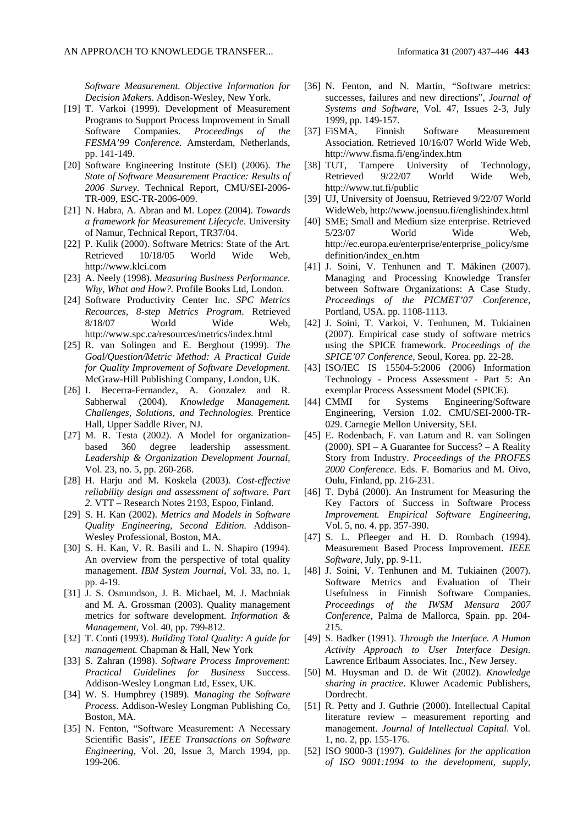*Software Measurement. Objective Information for Decision Makers*. Addison-Wesley, New York.

- [19] T. Varkoi (1999). Development of Measurement Programs to Support Process Improvement in Small Software Companies. *Proceedings of the FESMA'99 Conference.* Amsterdam, Netherlands, pp. 141-149.
- [20] Software Engineering Institute (SEI) (2006). *The State of Software Measurement Practice: Results of 2006 Survey.* Technical Report*,* CMU/SEI-2006- TR-009, ESC-TR-2006-009.
- [21] N. Habra, A. Abran and M. Lopez (2004). *Towards a framework for Measurement Lifecycle*. University of Namur, Technical Report, TR37/04.
- [22] P. Kulik (2000). Software Metrics: State of the Art. Retrieved 10/18/05 World Wide Web, http://www.klci.com
- [23] A. Neely (1998). *Measuring Business Performance. Why, What and How?.* Profile Books Ltd, London.
- [24] Software Productivity Center Inc. *SPC Metrics Recources, 8-step Metrics Program*. Retrieved 8/18/07 World Wide Web, http://www.spc.ca/resources/metrics/index.html
- [25] R. van Solingen and E. Berghout (1999). *The Goal/Question/Metric Method: A Practical Guide for Quality Improvement of Software Development*. McGraw-Hill Publishing Company, London, UK.
- [26] I. Becerra-Fernandez, A. Gonzalez and R. Sabherwal (2004). *Knowledge Management. Challenges, Solutions, and Technologies.* Prentice Hall, Upper Saddle River, NJ.
- [27] M. R. Testa (2002). A Model for organizationbased 360 degree leadership assessment. *Leadership & Organization Development Journal,* Vol. 23, no. 5, pp. 260-268.
- [28] H. Harju and M. Koskela (2003). *Cost-effective reliability design and assessment of software. Part 2.* VTT – Research Notes 2193, Espoo, Finland.
- [29] S. H. Kan (2002). *Metrics and Models in Software Quality Engineering, Second Edition.* Addison-Wesley Professional, Boston, MA.
- [30] S. H. Kan, V. R. Basili and L. N. Shapiro (1994). An overview from the perspective of total quality management. *IBM System Journal*, Vol. 33, no. 1, pp. 4-19.
- [31] J. S. Osmundson, J. B. Michael, M. J. Machniak and M. A. Grossman (2003). Quality management metrics for software development. *Information & Management,* Vol. 40, pp. 799-812.
- [32] T. Conti (1993). *Building Total Quality: A guide for management.* Chapman & Hall, New York
- [33] S. Zahran (1998). *Software Process Improvement: Practical Guidelines for Business* Success. Addison-Wesley Longman Ltd, Essex, UK.
- [34] W. S. Humphrey (1989). *Managing the Software Process*. Addison-Wesley Longman Publishing Co, Boston, MA.
- [35] N. Fenton, "Software Measurement: A Necessary Scientific Basis", *IEEE Transactions on Software Engineering,* Vol. 20, Issue 3, March 1994, pp. 199-206.
- [36] N. Fenton, and N. Martin, "Software metrics: successes, failures and new directions", *Journal of Systems and Software*, Vol. 47, Issues 2-3, July
- 1999, pp. 149-157. [37] FiSMA, Finnish Software Measurement Association. Retrieved 10/16/07 World Wide Web, http://www.fisma.fi/eng/index.htm
- [38] TUT, Tampere University of Technology, Retrieved 9/22/07 World Wide Web, http://www.tut.fi/public
- [39] UJ, University of Joensuu, Retrieved 9/22/07 World WideWeb, http://www.joensuu.fi/englishindex.html
- [40] SME; Small and Medium size enterprise. Retrieved 5/23/07 World Wide Web, http://ec.europa.eu/enterprise/enterprise\_policy/sme definition/index\_en.htm
- [41] J. Soini, V. Tenhunen and T. Mäkinen (2007). Managing and Processing Knowledge Transfer between Software Organizations: A Case Study. *Proceedings of the PICMET'07 Conference,* Portland, USA. pp. 1108-1113.
- [42] J. Soini, T. Varkoi, V. Tenhunen, M. Tukiainen (2007). Empirical case study of software metrics using the SPICE framework. *Proceedings of the SPICE'07 Conference,* Seoul, Korea. pp. 22-28.
- [43] ISO/IEC IS 15504-5:2006 (2006) Information Technology - Process Assessment - Part 5: An exemplar Process Assessment Model (SPICE).
- [44] CMMI for Systems Engineering/Software Engineering, Version 1.02. CMU/SEI-2000-TR-029. Carnegie Mellon University, SEI.
- [45] E. Rodenbach, F. van Latum and R. van Solingen (2000). SPI – A Guarantee for Success? – A Reality Story from Industry. *Proceedings of the PROFES 2000 Conference*. Eds. F. Bomarius and M. Oivo, Oulu, Finland, pp. 216-231.
- [46] T. Dybå (2000). An Instrument for Measuring the Key Factors of Success in Software Process *Improvement. Empirical Software Engineering*, Vol. 5, no. 4. pp. 357-390.
- [47] S. L. Pfleeger and H. D. Rombach (1994). Measurement Based Process Improvement*. IEEE Software,* July, pp. 9-11.
- [48] J. Soini, V. Tenhunen and M. Tukiainen (2007). Software Metrics and Evaluation of Their Usefulness in Finnish Software Companies. *Proceedings of the IWSM Mensura 2007 Conference,* Palma de Mallorca, Spain. pp. 204- 215.
- [49] S. Badker (1991). *Through the Interface. A Human Activity Approach to User Interface Design*. Lawrence Erlbaum Associates. Inc., New Jersey.
- [50] M. Huysman and D. de Wit (2002). *Knowledge sharing in practice*. Kluwer Academic Publishers, Dordrecht.
- [51] R. Petty and J. Guthrie (2000). Intellectual Capital literature review – measurement reporting and management. *Journal of Intellectual Capital*. Vol. 1, no. 2, pp. 155-176.
- [52] ISO 9000-3 (1997). *Guidelines for the application of ISO 9001:1994 to the development, supply,*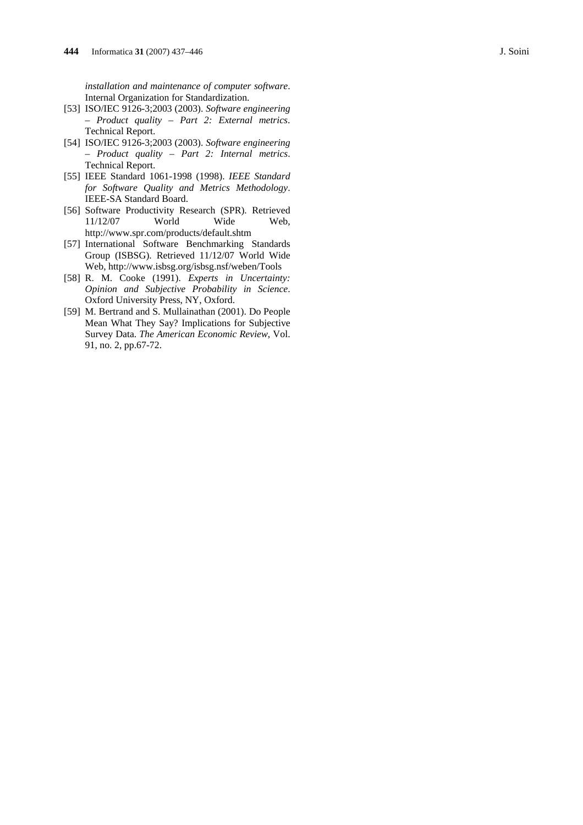- [53] ISO/IEC 9126-3;2003 (2003). *Software engineering – Product quality – Part 2: External metrics*. Technical Report.
- [54] ISO/IEC 9126-3;2003 (2003). *Software engineering – Product quality – Part 2: Internal metrics*. Technical Report.
- [55] IEEE Standard 1061-1998 (1998). *IEEE Standard for Software Quality and Metrics Methodology*. IEEE-SA Standard Board.
- [56] Software Productivity Research (SPR). Retrieved 11/12/07 World Wide Web, http://www.spr.com/products/default.shtm
- [57] International Software Benchmarking Standards Group (ISBSG). Retrieved 11/12/07 World Wide Web, http://www.isbsg.org/isbsg.nsf/weben/Tools
- [58] R. M. Cooke (1991). *Experts in Uncertainty: Opinion and Subjective Probability in Science*. Oxford University Press, NY, Oxford.
- [59] M. Bertrand and S. Mullainathan (2001). Do People Mean What They Say? Implications for Subjective Survey Data. *The American Economic Review*, Vol. 91, no. 2, pp.67-72.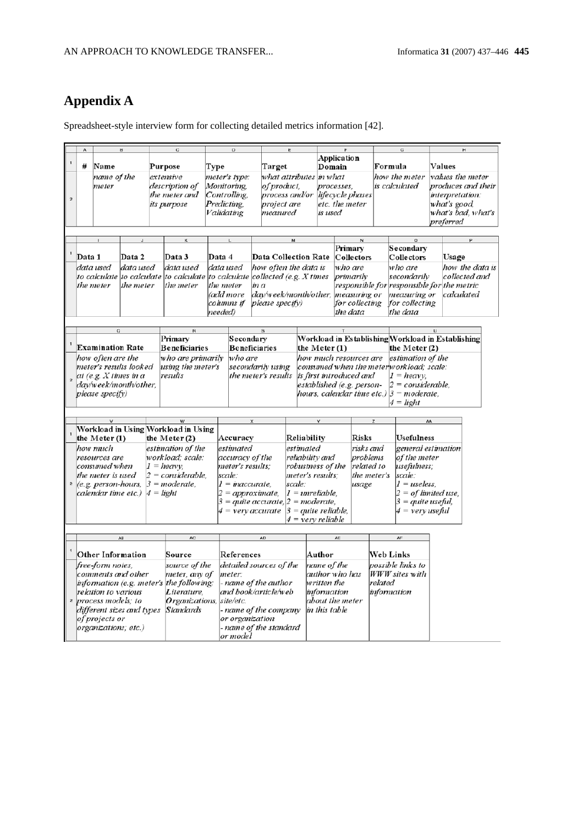# **Appendix A**

Spreadsheet-style interview form for collecting detailed metrics information [42].

|  |                                          |                                                 |                          |                        |                                          |                       |                                     | Application          |                                             |                                                                    |                                                  |                                            |                    |                                                   |                    |                 |  |
|--|------------------------------------------|-------------------------------------------------|--------------------------|------------------------|------------------------------------------|-----------------------|-------------------------------------|----------------------|---------------------------------------------|--------------------------------------------------------------------|--------------------------------------------------|--------------------------------------------|--------------------|---------------------------------------------------|--------------------|-----------------|--|
|  | #                                        | Name                                            |                          |                        | Purpose                                  |                       | Type                                |                      | Target                                      |                                                                    | Domain                                           |                                            | Formula            |                                                   | Values             |                 |  |
|  |                                          |                                                 | name of the              |                        | extensive                                |                       | meter's type:                       |                      | what attributes in what                     |                                                                    |                                                  |                                            |                    | how the meter                                     | values the meter   |                 |  |
|  |                                          | meter                                           |                          | description of         | Monitoring.                              |                       | of product.                         |                      |                                             | processes.                                                         |                                                  |                                            | is calculated      | produces and their                                |                    |                 |  |
|  |                                          | the meter and                                   |                          |                        | Controlling,                             |                       |                                     |                      |                                             |                                                                    | lifecycle phases                                 |                                            |                    | interpretation:                                   |                    |                 |  |
|  |                                          |                                                 |                          | Predicting             |                                          |                       | process and/or<br>project are       |                      | etc, the meter                              |                                                                    |                                                  |                                            | what's good,       |                                                   |                    |                 |  |
|  |                                          |                                                 | its purpose              |                        |                                          |                       |                                     |                      |                                             |                                                                    |                                                  |                                            | what's bad, what's |                                                   |                    |                 |  |
|  |                                          |                                                 |                          |                        | Validating                               |                       | measured                            |                      | is used                                     |                                                                    |                                                  |                                            |                    |                                                   |                    |                 |  |
|  |                                          |                                                 |                          |                        |                                          |                       |                                     |                      |                                             |                                                                    |                                                  |                                            |                    |                                                   | preferred          |                 |  |
|  |                                          |                                                 |                          |                        |                                          |                       |                                     |                      |                                             |                                                                    |                                                  |                                            |                    |                                                   |                    |                 |  |
|  |                                          |                                                 |                          |                        |                                          |                       |                                     |                      | м                                           |                                                                    |                                                  |                                            |                    |                                                   |                    |                 |  |
|  |                                          |                                                 |                          |                        |                                          |                       |                                     |                      |                                             |                                                                    | Primary                                          |                                            |                    | Secondary                                         |                    |                 |  |
|  | Data 1                                   |                                                 | Data 2                   |                        | Data 3                                   | Data 4                |                                     |                      | Data Collection Rate                        |                                                                    | Collectors                                       |                                            |                    | Collectors                                        | Usage              |                 |  |
|  |                                          | data used                                       | data used                |                        | data used                                | data used             |                                     |                      | how often the data is                       |                                                                    | who are                                          |                                            |                    | who are                                           |                    | how the data is |  |
|  |                                          |                                                 |                          |                        | to calculate  to calculate  to calculate |                       |                                     |                      | to calculate collected (e.g. $X$ times      |                                                                    |                                                  | primarily                                  |                    | secondarily                                       |                    | collected and   |  |
|  |                                          | the meter                                       | the meter                |                        | the meter                                | the meter             |                                     | in a                 |                                             |                                                                    |                                                  | responsible for responsible for the metric |                    |                                                   |                    |                 |  |
|  |                                          |                                                 |                          |                        |                                          | (add more             |                                     |                      |                                             |                                                                    | day/week/month/other, measuring or               |                                            |                    | measuring or                                      | calculated         |                 |  |
|  |                                          |                                                 |                          |                        |                                          |                       | cohmns if                           |                      | please specify)                             |                                                                    | for collecting                                   |                                            |                    | for collecting                                    |                    |                 |  |
|  |                                          |                                                 |                          |                        |                                          |                       |                                     |                      |                                             |                                                                    | the data                                         |                                            |                    | the data                                          |                    |                 |  |
|  |                                          |                                                 |                          |                        |                                          |                       | needed)                             |                      |                                             |                                                                    |                                                  |                                            |                    |                                                   |                    |                 |  |
|  |                                          | $\Omega$                                        |                          |                        |                                          |                       |                                     |                      |                                             |                                                                    |                                                  |                                            |                    |                                                   |                    |                 |  |
|  |                                          |                                                 |                          |                        | Primary                                  |                       | Secondary                           |                      |                                             |                                                                    |                                                  |                                            |                    | Workload in Establishing Workload in Establishing |                    |                 |  |
|  |                                          | <b>Examination Rate</b>                         |                          |                        | <b>Beneficiaries</b>                     |                       |                                     | <b>Beneficiaries</b> |                                             |                                                                    |                                                  |                                            |                    |                                                   |                    |                 |  |
|  |                                          |                                                 |                          |                        |                                          |                       |                                     |                      |                                             | the Meter (1)                                                      |                                                  |                                            | the Meter $(2)$    |                                                   |                    |                 |  |
|  |                                          | how often are the                               |                          |                        | who are primarily                        |                       | who are                             |                      |                                             | how much resources are<br>estimation of the                        |                                                  |                                            |                    |                                                   |                    |                 |  |
|  |                                          | meter's results looked                          |                          |                        | using the meter's                        |                       |                                     | secondarily using    |                                             | consumed when the meterworkload; scale:<br>is first introduced and |                                                  |                                            |                    |                                                   |                    |                 |  |
|  |                                          | at (e.g. $X$ times in a                         |                          |                        | results                                  |                       |                                     | the meter's results  |                                             |                                                                    |                                                  |                                            |                    | $I = heavy$ .                                     |                    |                 |  |
|  |                                          | day/week/month/other,                           |                          |                        |                                          |                       |                                     |                      |                                             |                                                                    | established (e.g. person-<br>$2 =$ considerable, |                                            |                    |                                                   |                    |                 |  |
|  | please specify)                          |                                                 |                          |                        |                                          |                       |                                     |                      | hours, calendar time etc.) $3 = moderate$ , |                                                                    |                                                  |                                            |                    |                                                   |                    |                 |  |
|  |                                          |                                                 |                          |                        |                                          |                       | $4 = light$                         |                      |                                             |                                                                    |                                                  |                                            |                    |                                                   |                    |                 |  |
|  |                                          |                                                 |                          |                        |                                          |                       |                                     |                      |                                             |                                                                    |                                                  |                                            |                    |                                                   |                    |                 |  |
|  |                                          |                                                 |                          |                        |                                          |                       |                                     |                      |                                             |                                                                    |                                                  |                                            |                    | AA                                                |                    |                 |  |
|  |                                          |                                                 |                          |                        | Workload in Using Workload in Using      |                       |                                     |                      |                                             |                                                                    |                                                  |                                            |                    |                                                   |                    |                 |  |
|  |                                          | the Meter $(1)$                                 |                          |                        | the Meter $(2)$                          | Accuracy              |                                     |                      | Reliability                                 |                                                                    |                                                  | <b>Risks</b>                               |                    | Usefulness                                        |                    |                 |  |
|  |                                          | how much                                        |                          |                        | estimation of the                        | estimated             |                                     |                      | estimated                                   |                                                                    | risks and                                        |                                            |                    |                                                   | general estimation |                 |  |
|  |                                          | resources are                                   |                          |                        | workload: scale:                         | accuracy of the       |                                     |                      | reliability and                             |                                                                    | problems                                         |                                            |                    | of the meter                                      |                    |                 |  |
|  |                                          | consumed when                                   |                          |                        | $1 = heavy$                              |                       | meter's results:                    |                      |                                             | robustness of the                                                  |                                                  | related to                                 |                    | usefulness:                                       |                    |                 |  |
|  |                                          | the meter is used<br>$2 = \text{considerable}.$ |                          |                        | scale:                                   |                       |                                     | meter's results:     |                                             | the meter's                                                        |                                                  | scale:                                     |                    |                                                   |                    |                 |  |
|  |                                          | $(e.g. person-hours,$                           |                          |                        | $3 = moderate$ .                         | $1 = inaccurate$      |                                     |                      | scale:                                      |                                                                    |                                                  | usage                                      |                    | $1 = u$ seless.                                   |                    |                 |  |
|  |                                          | calendar time etc.)                             |                          | $4 = light$            |                                          | $2 = approximate$ ,   |                                     |                      | $1 =$ unreliable,                           |                                                                    |                                                  |                                            |                    | $2 = of$ limited use,                             |                    |                 |  |
|  |                                          |                                                 |                          |                        |                                          |                       | $3 = quite accurate, 2 = moderate,$ |                      |                                             |                                                                    |                                                  |                                            |                    | 3 = quite useful,                                 |                    |                 |  |
|  |                                          |                                                 |                          | 4 = very accurate      |                                          |                       | $3 = quite reliable$ ,              |                      |                                             |                                                                    |                                                  | 4 = very useful                            |                    |                                                   |                    |                 |  |
|  |                                          |                                                 |                          |                        |                                          |                       | 4 = verv reliable                   |                      |                                             |                                                                    |                                                  |                                            |                    |                                                   |                    |                 |  |
|  |                                          |                                                 |                          |                        |                                          |                       |                                     |                      |                                             |                                                                    |                                                  |                                            |                    |                                                   |                    |                 |  |
|  |                                          | AB                                              |                          |                        | AC                                       |                       |                                     | AD                   |                                             |                                                                    | AE                                               |                                            |                    | AF                                                |                    |                 |  |
|  |                                          |                                                 |                          |                        |                                          |                       |                                     |                      |                                             |                                                                    |                                                  |                                            |                    |                                                   |                    |                 |  |
|  | Other Information<br>Source              |                                                 |                          | References             |                                          |                       | Author                              |                      | <b>Web Links</b>                            |                                                                    |                                                  |                                            |                    |                                                   |                    |                 |  |
|  | free-form notes,                         |                                                 | source of the            |                        | detailed sources of the                  |                       |                                     |                      | name of the                                 |                                                                    |                                                  | possible links to                          |                    |                                                   |                    |                 |  |
|  | comments and other                       |                                                 | meter, any of            | meter:                 |                                          |                       |                                     |                      | author who has                              |                                                                    | <b>WWW</b> sites with                            |                                            |                    |                                                   |                    |                 |  |
|  | information (e.g. meter's the following: |                                                 |                          |                        |                                          | - name of the author  |                                     |                      | written the                                 |                                                                    |                                                  | related                                    |                    |                                                   |                    |                 |  |
|  |                                          |                                                 | Literature,              | and book/article/web   |                                          |                       |                                     |                      | information                                 |                                                                    | information                                      |                                            |                    |                                                   |                    |                 |  |
|  | relation to various                      |                                                 |                          |                        |                                          |                       |                                     |                      | about the meter                             |                                                                    |                                                  |                                            |                    |                                                   |                    |                 |  |
|  | process models; to                       |                                                 | Organizations, site/etc. |                        |                                          |                       |                                     |                      |                                             |                                                                    |                                                  |                                            |                    |                                                   |                    |                 |  |
|  | different sizes and types                |                                                 | <b>Standards</b>         |                        |                                          | - name of the company |                                     |                      | in this table                               |                                                                    |                                                  |                                            |                    |                                                   |                    |                 |  |
|  | of projects or                           |                                                 |                          | or organization        |                                          |                       |                                     |                      |                                             |                                                                    |                                                  |                                            |                    |                                                   |                    |                 |  |
|  | organizations; etc.)                     |                                                 |                          | - name of the standard |                                          |                       |                                     |                      |                                             |                                                                    |                                                  |                                            |                    |                                                   |                    |                 |  |
|  |                                          |                                                 |                          |                        |                                          |                       | or model                            |                      |                                             |                                                                    |                                                  |                                            |                    |                                                   |                    |                 |  |